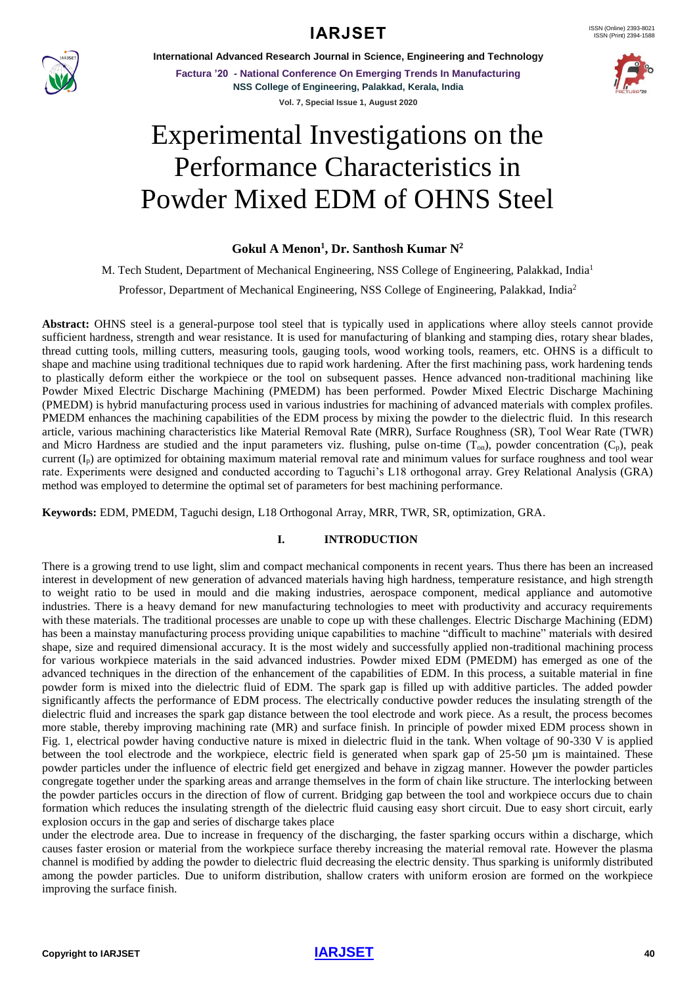

**International Advanced Research Journal in Science, Engineering and Technology**

**Factura '20 - National Conference On Emerging Trends In Manufacturing NSS College of Engineering, Palakkad, Kerala, India Vol. 7, Special Issue 1, August 2020**



# Experimental Investigations on the Performance Characteristics in Powder Mixed EDM of OHNS Steel

#### **Gokul A Menon<sup>1</sup> , Dr. Santhosh Kumar N<sup>2</sup>**

M. Tech Student, Department of Mechanical Engineering, NSS College of Engineering, Palakkad, India<sup>1</sup>

Professor, Department of Mechanical Engineering, NSS College of Engineering, Palakkad, India<sup>2</sup>

**Abstract:** OHNS steel is a general-purpose tool steel that is typically used in applications where alloy steels cannot provide sufficient hardness, strength and wear resistance. It is used for manufacturing of blanking and stamping dies, rotary shear blades, thread cutting tools, milling cutters, measuring tools, gauging tools, wood working tools, reamers, etc. OHNS is a difficult to shape and machine using traditional techniques due to rapid work hardening. After the first machining pass, work hardening tends to plastically deform either the workpiece or the tool on subsequent passes. Hence advanced non-traditional machining like Powder Mixed Electric Discharge Machining (PMEDM) has been performed. Powder Mixed Electric Discharge Machining (PMEDM) is hybrid manufacturing process used in various industries for machining of advanced materials with complex profiles. PMEDM enhances the machining capabilities of the EDM process by mixing the powder to the dielectric fluid. In this research article, various machining characteristics like Material Removal Rate (MRR), Surface Roughness (SR), Tool Wear Rate (TWR) and Micro Hardness are studied and the input parameters viz. flushing, pulse on-time  $(T_{on})$ , powder concentration  $(C_p)$ , peak current  $(I_p)$  are optimized for obtaining maximum material removal rate and minimum values for surface roughness and tool wear rate. Experiments were designed and conducted according to Taguchi's L18 orthogonal array. Grey Relational Analysis (GRA) method was employed to determine the optimal set of parameters for best machining performance.

**Keywords:** EDM, PMEDM, Taguchi design, L18 Orthogonal Array, MRR, TWR, SR, optimization, GRA.

#### **I. INTRODUCTION**

There is a growing trend to use light, slim and compact mechanical components in recent years. Thus there has been an increased interest in development of new generation of advanced materials having high hardness, temperature resistance, and high strength to weight ratio to be used in mould and die making industries, aerospace component, medical appliance and automotive industries. There is a heavy demand for new manufacturing technologies to meet with productivity and accuracy requirements with these materials. The traditional processes are unable to cope up with these challenges. Electric Discharge Machining (EDM) has been a mainstay manufacturing process providing unique capabilities to machine "difficult to machine" materials with desired shape, size and required dimensional accuracy. It is the most widely and successfully applied non-traditional machining process for various workpiece materials in the said advanced industries. Powder mixed EDM (PMEDM) has emerged as one of the advanced techniques in the direction of the enhancement of the capabilities of EDM. In this process, a suitable material in fine powder form is mixed into the dielectric fluid of EDM. The spark gap is filled up with additive particles. The added powder significantly affects the performance of EDM process. The electrically conductive powder reduces the insulating strength of the dielectric fluid and increases the spark gap distance between the tool electrode and work piece. As a result, the process becomes more stable, thereby improving machining rate (MR) and surface finish. In principle of powder mixed EDM process shown in Fig. 1, electrical powder having conductive nature is mixed in dielectric fluid in the tank. When voltage of 90-330 V is applied between the tool electrode and the workpiece, electric field is generated when spark gap of 25-50 µm is maintained. These powder particles under the influence of electric field get energized and behave in zigzag manner. However the powder particles congregate together under the sparking areas and arrange themselves in the form of chain like structure. The interlocking between the powder particles occurs in the direction of flow of current. Bridging gap between the tool and workpiece occurs due to chain formation which reduces the insulating strength of the dielectric fluid causing easy short circuit. Due to easy short circuit, early explosion occurs in the gap and series of discharge takes place

under the electrode area. Due to increase in frequency of the discharging, the faster sparking occurs within a discharge, which causes faster erosion or material from the workpiece surface thereby increasing the material removal rate. However the plasma channel is modified by adding the powder to dielectric fluid decreasing the electric density. Thus sparking is uniformly distributed among the powder particles. Due to uniform distribution, shallow craters with uniform erosion are formed on the workpiece improving the surface finish.

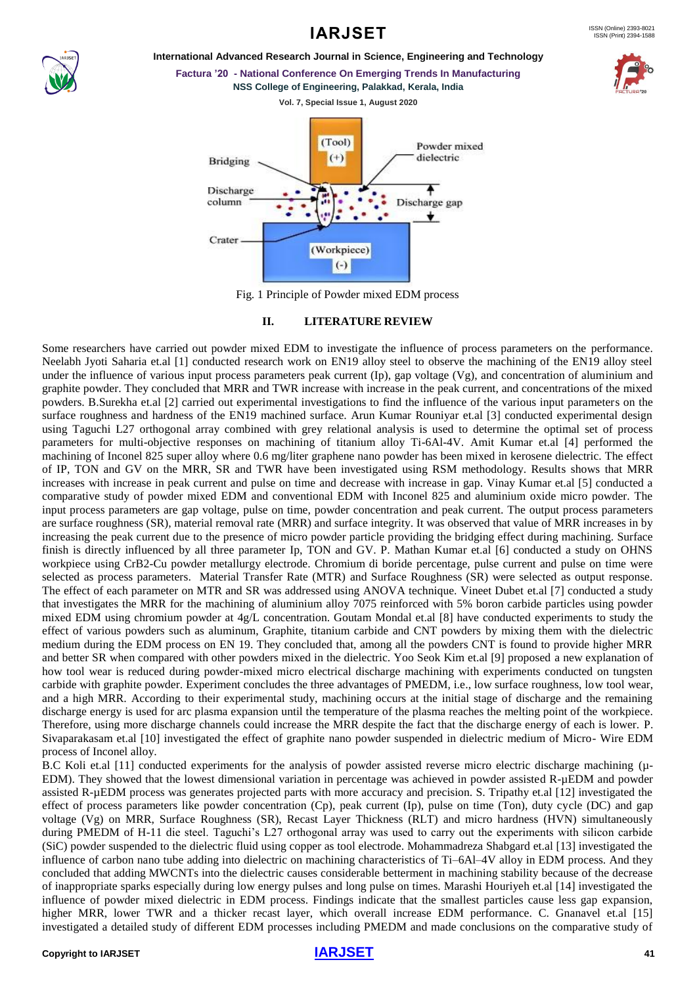

#### **International Advanced Research Journal in Science, Engineering and Technology Factura '20 - National Conference On Emerging Trends In Manufacturing**



Fig. 1 Principle of Powder mixed EDM process

#### **II. LITERATURE REVIEW**

Some researchers have carried out powder mixed EDM to investigate the influence of process parameters on the performance. Neelabh Jyoti Saharia et.al [1] conducted research work on EN19 alloy steel to observe the machining of the EN19 alloy steel under the influence of various input process parameters peak current (Ip), gap voltage (Vg), and concentration of aluminium and graphite powder. They concluded that MRR and TWR increase with increase in the peak current, and concentrations of the mixed powders. B.Surekha et.al [2] carried out experimental investigations to find the influence of the various input parameters on the surface roughness and hardness of the EN19 machined surface. Arun Kumar Rouniyar et.al [3] conducted experimental design using Taguchi L27 orthogonal array combined with grey relational analysis is used to determine the optimal set of process parameters for multi-objective responses on machining of titanium alloy Ti-6Al-4V. Amit Kumar et.al [4] performed the machining of Inconel 825 super alloy where 0.6 mg/liter graphene nano powder has been mixed in kerosene dielectric. The effect of IP, TON and GV on the MRR, SR and TWR have been investigated using RSM methodology. Results shows that MRR increases with increase in peak current and pulse on time and decrease with increase in gap. Vinay Kumar et.al [5] conducted a comparative study of powder mixed EDM and conventional EDM with Inconel 825 and aluminium oxide micro powder. The input process parameters are gap voltage, pulse on time, powder concentration and peak current. The output process parameters are surface roughness (SR), material removal rate (MRR) and surface integrity. It was observed that value of MRR increases in by increasing the peak current due to the presence of micro powder particle providing the bridging effect during machining. Surface finish is directly influenced by all three parameter Ip, TON and GV. P. Mathan Kumar et.al [6] conducted a study on OHNS workpiece using CrB2-Cu powder metallurgy electrode. Chromium di boride percentage, pulse current and pulse on time were selected as process parameters. Material Transfer Rate (MTR) and Surface Roughness (SR) were selected as output response. The effect of each parameter on MTR and SR was addressed using ANOVA technique. Vineet Dubet et.al [7] conducted a study that investigates the MRR for the machining of aluminium alloy 7075 reinforced with 5% boron carbide particles using powder mixed EDM using chromium powder at 4g/L concentration. Goutam Mondal et.al [8] have conducted experiments to study the effect of various powders such as aluminum, Graphite, titanium carbide and CNT powders by mixing them with the dielectric medium during the EDM process on EN 19. They concluded that, among all the powders CNT is found to provide higher MRR and better SR when compared with other powders mixed in the dielectric. Yoo Seok Kim et.al [9] proposed a new explanation of how tool wear is reduced during powder-mixed micro electrical discharge machining with experiments conducted on tungsten carbide with graphite powder. Experiment concludes the three advantages of PMEDM, i.e., low surface roughness, low tool wear, and a high MRR. According to their experimental study, machining occurs at the initial stage of discharge and the remaining discharge energy is used for arc plasma expansion until the temperature of the plasma reaches the melting point of the workpiece. Therefore, using more discharge channels could increase the MRR despite the fact that the discharge energy of each is lower. P. Sivaparakasam et.al [10] investigated the effect of graphite nano powder suspended in dielectric medium of Micro- Wire EDM process of Inconel alloy.

B.C Koli et.al [11] conducted experiments for the analysis of powder assisted reverse micro electric discharge machining ( $\mu$ -EDM). They showed that the lowest dimensional variation in percentage was achieved in powder assisted R-µEDM and powder assisted R-µEDM process was generates projected parts with more accuracy and precision. S. Tripathy et.al [12] investigated the effect of process parameters like powder concentration (Cp), peak current (Ip), pulse on time (Ton), duty cycle (DC) and gap voltage (Vg) on MRR, Surface Roughness (SR), Recast Layer Thickness (RLT) and micro hardness (HVN) simultaneously during PMEDM of H-11 die steel. Taguchi's L27 orthogonal array was used to carry out the experiments with silicon carbide (SiC) powder suspended to the dielectric fluid using copper as tool electrode. Mohammadreza Shabgard et.al [13] investigated the influence of carbon nano tube adding into dielectric on machining characteristics of Ti–6Al–4V alloy in EDM process. And they concluded that adding MWCNTs into the dielectric causes considerable betterment in machining stability because of the decrease of inappropriate sparks especially during low energy pulses and long pulse on times. Marashi Houriyeh et.al [14] investigated the influence of powder mixed dielectric in EDM process. Findings indicate that the smallest particles cause less gap expansion, higher MRR, lower TWR and a thicker recast layer, which overall increase EDM performance. C. Gnanavel et.al [15] investigated a detailed study of different EDM processes including PMEDM and made conclusions on the comparative study of

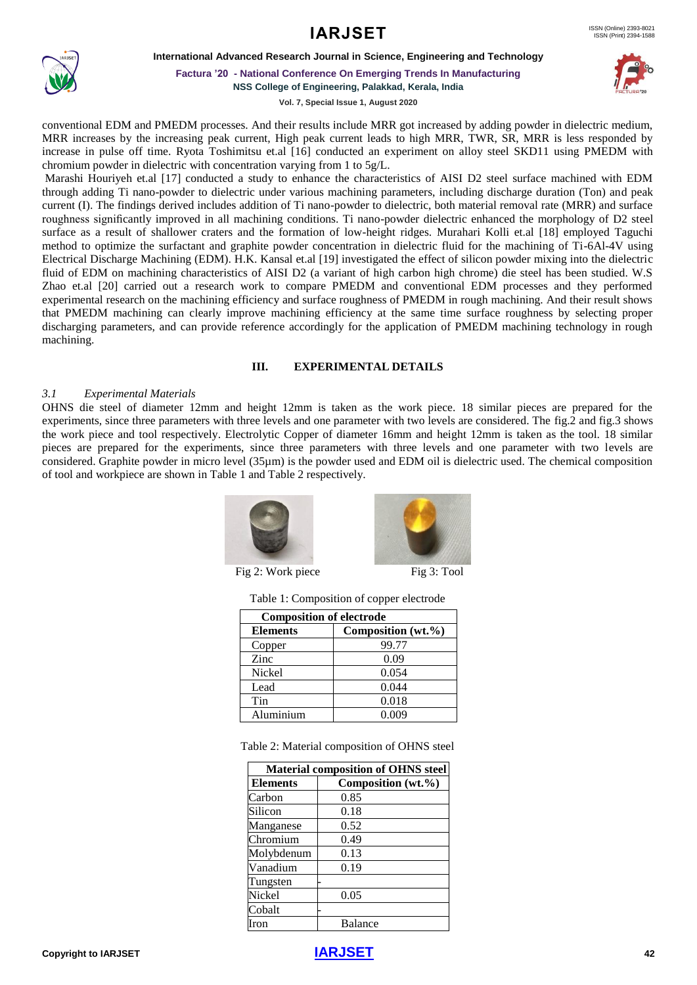

**International Advanced Research Journal in Science, Engineering and Technology**



**Factura '20 - National Conference On Emerging Trends In Manufacturing**

**NSS College of Engineering, Palakkad, Kerala, India**

**Vol. 7, Special Issue 1, August 2020**

conventional EDM and PMEDM processes. And their results include MRR got increased by adding powder in dielectric medium, MRR increases by the increasing peak current, High peak current leads to high MRR, TWR, SR, MRR is less responded by increase in pulse off time. Ryota Toshimitsu et.al [16] conducted an experiment on alloy steel SKD11 using PMEDM with chromium powder in dielectric with concentration varying from 1 to 5g/L.

Marashi Houriyeh et.al [17] conducted a study to enhance the characteristics of AISI D2 steel surface machined with EDM through adding Ti nano-powder to dielectric under various machining parameters, including discharge duration (Ton) and peak current (I). The findings derived includes addition of Ti nano-powder to dielectric, both material removal rate (MRR) and surface roughness significantly improved in all machining conditions. Ti nano-powder dielectric enhanced the morphology of D2 steel surface as a result of shallower craters and the formation of low-height ridges. Murahari Kolli et.al [18] employed Taguchi method to optimize the surfactant and graphite powder concentration in dielectric fluid for the machining of Ti-6Al-4V using Electrical Discharge Machining (EDM). H.K. Kansal et.al [19] investigated the effect of silicon powder mixing into the dielectric fluid of EDM on machining characteristics of AISI D2 (a variant of high carbon high chrome) die steel has been studied. W.S Zhao et.al [20] carried out a research work to compare PMEDM and conventional EDM processes and they performed experimental research on the machining efficiency and surface roughness of PMEDM in rough machining. And their result shows that PMEDM machining can clearly improve machining efficiency at the same time surface roughness by selecting proper discharging parameters, and can provide reference accordingly for the application of PMEDM machining technology in rough machining.

#### **III. EXPERIMENTAL DETAILS**

#### *3.1 Experimental Materials*

OHNS die steel of diameter 12mm and height 12mm is taken as the work piece. 18 similar pieces are prepared for the experiments, since three parameters with three levels and one parameter with two levels are considered. The fig.2 and fig.3 shows the work piece and tool respectively. Electrolytic Copper of diameter 16mm and height 12mm is taken as the tool. 18 similar pieces are prepared for the experiments, since three parameters with three levels and one parameter with two levels are considered. Graphite powder in micro level (35µm) is the powder used and EDM oil is dielectric used. The chemical composition of tool and workpiece are shown in Table 1 and Table 2 respectively.





I, Fig 2: Work piece Fig 3: Tool

|  |  | Table 1: Composition of copper electrode |
|--|--|------------------------------------------|
|--|--|------------------------------------------|

| <b>Composition of electrode</b> |                    |  |
|---------------------------------|--------------------|--|
| <b>Elements</b>                 | Composition (wt.%) |  |
| Copper                          | 99.77              |  |
| Zinc                            | 0.09               |  |
| Nickel                          | 0.054              |  |
| Lead                            | 0.044              |  |
| Tin                             | 0.018              |  |
| Aluminium                       | 0.009              |  |

Table 2: Material composition of OHNS steel

| <b>Material composition of OHNS steel</b> |                    |  |  |
|-------------------------------------------|--------------------|--|--|
| <b>Elements</b>                           | Composition (wt.%) |  |  |
| Carbon                                    | 0.85               |  |  |
| Silicon                                   | 0.18               |  |  |
| Manganese                                 | 0.52               |  |  |
| Chromium                                  | 0.49               |  |  |
| Molybdenum                                | 0.13               |  |  |
| Vanadium                                  | 0.19               |  |  |
| Tungsten                                  |                    |  |  |
| Nickel                                    | 0.05               |  |  |
| Cobalt                                    |                    |  |  |
| ron                                       | <b>Balance</b>     |  |  |

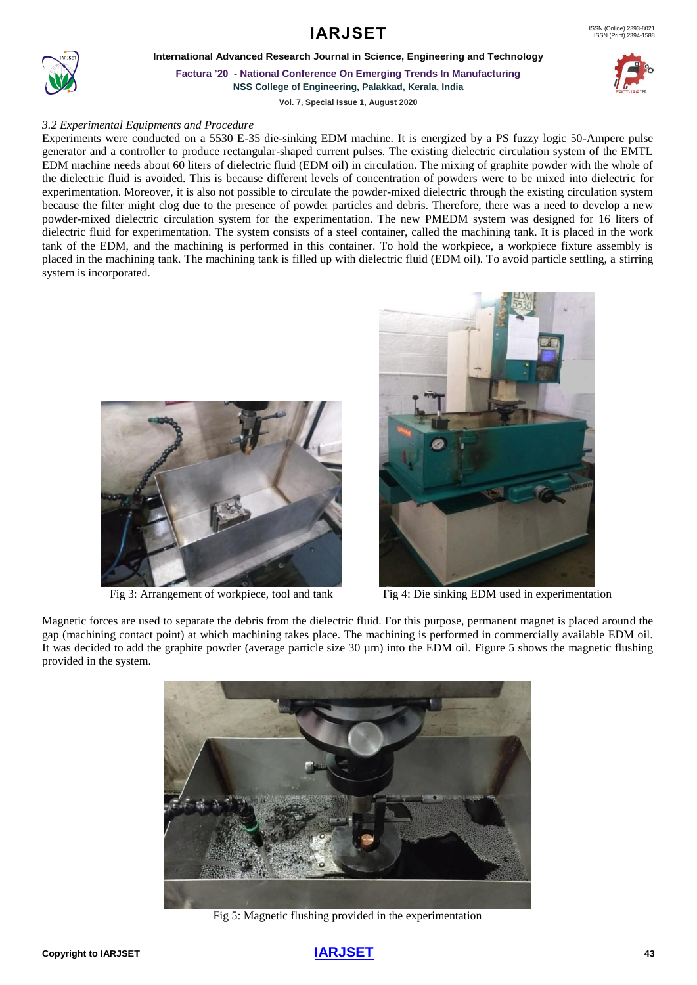**International Advanced Research Journal in Science, Engineering and Technology**



**Factura '20 - National Conference On Emerging Trends In Manufacturing NSS College of Engineering, Palakkad, Kerala, India**

**Vol. 7, Special Issue 1, August 2020**

#### *3.2 Experimental Equipments and Procedure*

Experiments were conducted on a 5530 E-35 die-sinking EDM machine. It is energized by a PS fuzzy logic 50-Ampere pulse generator and a controller to produce rectangular-shaped current pulses. The existing dielectric circulation system of the EMTL EDM machine needs about 60 liters of dielectric fluid (EDM oil) in circulation. The mixing of graphite powder with the whole of the dielectric fluid is avoided. This is because different levels of concentration of powders were to be mixed into dielectric for experimentation. Moreover, it is also not possible to circulate the powder-mixed dielectric through the existing circulation system because the filter might clog due to the presence of powder particles and debris. Therefore, there was a need to develop a new powder-mixed dielectric circulation system for the experimentation. The new PMEDM system was designed for 16 liters of dielectric fluid for experimentation. The system consists of a steel container, called the machining tank. It is placed in the work tank of the EDM, and the machining is performed in this container. To hold the workpiece, a workpiece fixture assembly is placed in the machining tank. The machining tank is filled up with dielectric fluid (EDM oil). To avoid particle settling, a stirring system is incorporated.



Fig 3: Arrangement of workpiece, tool and tank Fig 4: Die sinking EDM used in experimentation



Magnetic forces are used to separate the debris from the dielectric fluid. For this purpose, permanent magnet is placed around the gap (machining contact point) at which machining takes place. The machining is performed in commercially available EDM oil. It was decided to add the graphite powder (average particle size 30 µm) into the EDM oil. Figure 5 shows the magnetic flushing provided in the system.



Fig 5: Magnetic flushing provided in the experimentation

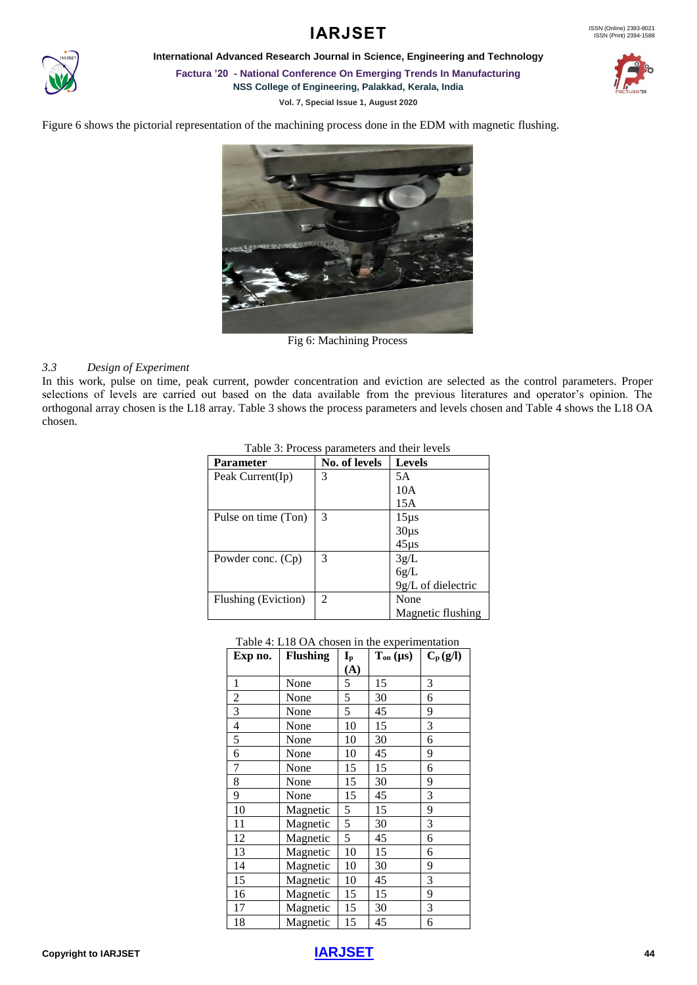

**International Advanced Research Journal in Science, Engineering and Technology**

**Factura '20 - National Conference On Emerging Trends In Manufacturing NSS College of Engineering, Palakkad, Kerala, India**

**Vol. 7, Special Issue 1, August 2020**



Figure 6 shows the pictorial representation of the machining process done in the EDM with magnetic flushing.



Fig 6: Machining Process

#### *3.3 Design of Experiment*

In this work, pulse on time, peak current, powder concentration and eviction are selected as the control parameters. Proper selections of levels are carried out based on the data available from the previous literatures and operator's opinion. The orthogonal array chosen is the L18 array. Table 3 shows the process parameters and levels chosen and Table 4 shows the L18 OA chosen.

| <b>Parameter</b>    | No. of levels  | <b>Levels</b>      |
|---------------------|----------------|--------------------|
| Peak $Current(Ip)$  | 3              | 5A                 |
|                     |                | 10A                |
|                     |                | 15A                |
| Pulse on time (Ton) | 3              | $15 \mu s$         |
|                     |                | $30\mu s$          |
|                     |                | $45 \mu s$         |
| Powder conc. (Cp)   | 3              | 3g/L               |
|                     |                | 6g/L               |
|                     |                | 9g/L of dielectric |
| Flushing (Eviction) | $\mathfrak{D}$ | None               |
|                     |                | Magnetic flushing  |

Table 3: Process parameters and their levels

Table 4: L18 OA chosen in the experimentation

| Exp no.        | <b>Flushing</b> | $\mathbf{I}_{\text{p}}$ | $T_{on} (\mu s)$ | $C_p(g/l)$ |
|----------------|-----------------|-------------------------|------------------|------------|
|                |                 | (A)                     |                  |            |
| 1              | None            | 5                       | 15               | 3          |
| $\frac{2}{3}$  | None            | 5                       | 30               | 6          |
|                | None            | 5                       | 45               | 9          |
| $\overline{4}$ | None            | 10                      | 15               | 3          |
| $\overline{5}$ | None            | 10                      | 30               | 6          |
| 6              | None            | 10                      | 45               | 9          |
| 7              | None            | 15                      | 15               | 6          |
| 8              | None            | 15                      | 30               | 9          |
| 9              | None            | 15                      | 45               | 3          |
| 10             | Magnetic        | 5                       | 15               | 9          |
| 11             | Magnetic        | 5                       | 30               | 3          |
| 12             | Magnetic        | 5                       | 45               | 6          |
| 13             | Magnetic        | 10                      | 15               | 6          |
| 14             | Magnetic        | 10                      | 30               | 9          |
| 15             | Magnetic        | 10                      | 45               | 3          |
| 16             | Magnetic        | 15                      | 15               | 9          |
| 17             | Magnetic        | 15                      | 30               | 3          |
| 18             | Magnetic        | 15                      | 45               | 6          |

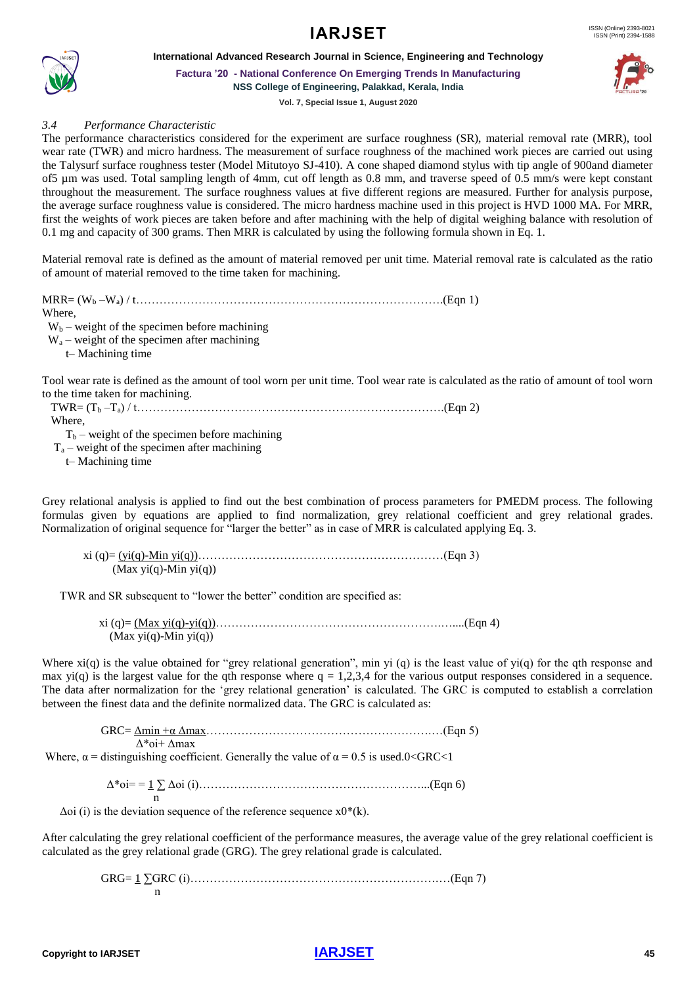



**International Advanced Research Journal in Science, Engineering and Technology**

**Factura '20 - National Conference On Emerging Trends In Manufacturing NSS College of Engineering, Palakkad, Kerala, India**

**Vol. 7, Special Issue 1, August 2020**

*3.4 Performance Characteristic*

The performance characteristics considered for the experiment are surface roughness (SR), material removal rate (MRR), tool wear rate (TWR) and micro hardness. The measurement of surface roughness of the machined work pieces are carried out using the Talysurf surface roughness tester (Model Mitutoyo SJ-410). A cone shaped diamond stylus with tip angle of 900and diameter of5 µm was used. Total sampling length of 4mm, cut off length as 0.8 mm, and traverse speed of 0.5 mm/s were kept constant throughout the measurement. The surface roughness values at five different regions are measured. Further for analysis purpose, the average surface roughness value is considered. The micro hardness machine used in this project is HVD 1000 MA. For MRR, first the weights of work pieces are taken before and after machining with the help of digital weighing balance with resolution of 0.1 mg and capacity of 300 grams. Then MRR is calculated by using the following formula shown in Eq. 1.

Material removal rate is defined as the amount of material removed per unit time. Material removal rate is calculated as the ratio of amount of material removed to the time taken for machining.

MRR= (W<sup>b</sup> –Wa) / t…………………………………………………………………….(Eqn 1) Where,  $W_b$  – weight of the specimen before machining  $W_a$  – weight of the specimen after machining t– Machining time

Tool wear rate is defined as the amount of tool worn per unit time. Tool wear rate is calculated as the ratio of amount of tool worn to the time taken for machining.

 TWR= (T<sup>b</sup> –Ta) / t…………………………………………………………………….(Eqn 2) Where,

 $T_b$  – weight of the specimen before machining

 $T_a$  – weight of the specimen after machining

t– Machining time

Grey relational analysis is applied to find out the best combination of process parameters for PMEDM process. The following formulas given by equations are applied to find normalization, grey relational coefficient and grey relational grades. Normalization of original sequence for "larger the better" as in case of MRR is calculated applying Eq. 3.

 xi (q)= (yi(q)-Min yi(q))………………………………………………………(Eqn 3) (Max yi(q)-Min yi(q))

TWR and SR subsequent to "lower the better" condition are specified as:

 xi (q)= (Max yi(q)-yi(q))………………………………………………….…....(Eqn 4)  $(Max \, yi(q)$ -Min  $yi(q))$ 

Where  $xi(q)$  is the value obtained for "grey relational generation", min yi (q) is the least value of yi(q) for the qth response and max yi(q) is the largest value for the qth response where  $q = 1,2,3,4$  for the various output responses considered in a sequence. The data after normalization for the 'grey relational generation' is calculated. The GRC is computed to establish a correlation between the finest data and the definite normalized data. The GRC is calculated as:

 GRC= Δmin +α Δmax………………………………………………….…(Eqn 5) Δ\*oi+ Δmax Where,  $\alpha$  = distinguishing coefficient. Generally the value of  $\alpha$  = 0.5 is used.0<GRC<1

 Δ\*oi= = 1 ∑ Δoi (i)…………………………………………………...(Eqn 6) n<sub>n</sub> and a structure of the structure of the structure of the structure of the structure of the structure of the structure of the structure of the structure of the structure of the structure of the structure of the structu

 $\Delta$ oi (i) is the deviation sequence of the reference sequence x0<sup>\*</sup>(k).

After calculating the grey relational coefficient of the performance measures, the average value of the grey relational coefficient is calculated as the grey relational grade (GRG). The grey relational grade is calculated.

 GRG= 1 ∑GRC (i)……………………………………………………….…(Eqn 7) n

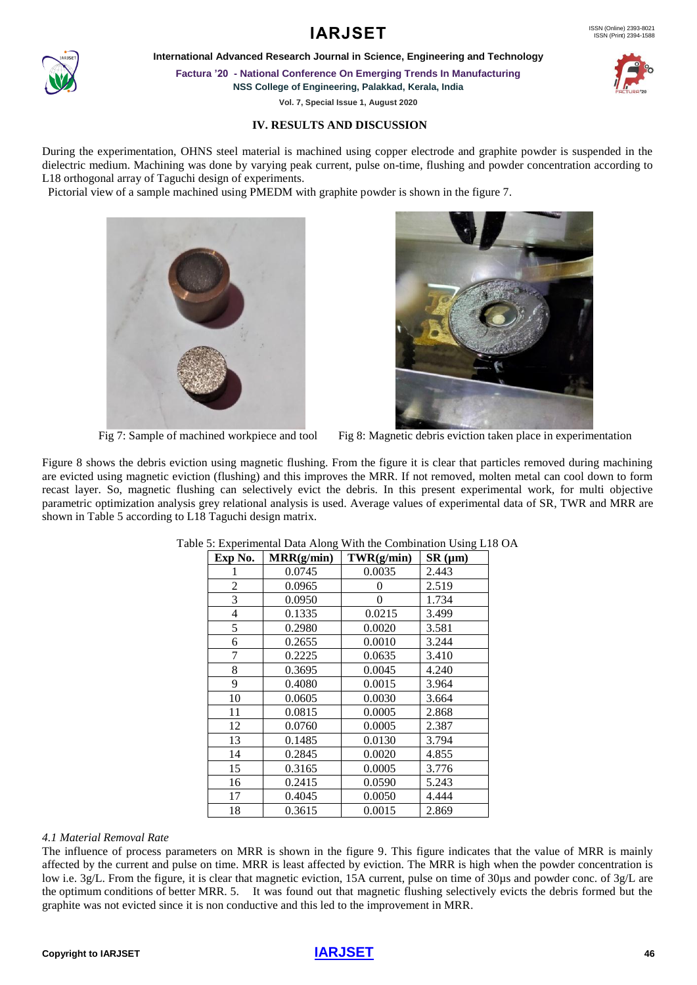#### ISSN (Print) 2394-1588

## **IARJSET** ISSN (Online) 2393-8021

**International Advanced Research Journal in Science, Engineering and Technology**

**Factura '20 - National Conference On Emerging Trends In Manufacturing**

**NSS College of Engineering, Palakkad, Kerala, India**

**Vol. 7, Special Issue 1, August 2020**

#### **IV. RESULTS AND DISCUSSION**

During the experimentation, OHNS steel material is machined using copper electrode and graphite powder is suspended in the dielectric medium. Machining was done by varying peak current, pulse on-time, flushing and powder concentration according to L18 orthogonal array of Taguchi design of experiments.

Pictorial view of a sample machined using PMEDM with graphite powder is shown in the figure 7.



Fig 7: Sample of machined workpiece and tool Fig 8: Magnetic debris eviction taken place in experimentation

Figure 8 shows the debris eviction using magnetic flushing. From the figure it is clear that particles removed during machining are evicted using magnetic eviction (flushing) and this improves the MRR. If not removed, molten metal can cool down to form recast layer. So, magnetic flushing can selectively evict the debris. In this present experimental work, for multi objective parametric optimization analysis grey relational analysis is used. Average values of experimental data of SR, TWR and MRR are shown in Table 5 according to L18 Taguchi design matrix.

| Exp No. | MRR(g/min) | TWR(g/min)     | SR (µm) |
|---------|------------|----------------|---------|
|         | 0.0745     | 0.0035         | 2.443   |
| 2       | 0.0965     | 0              | 2.519   |
| 3       | 0.0950     | $\overline{0}$ | 1.734   |
| 4       | 0.1335     | 0.0215         | 3.499   |
| 5       | 0.2980     | 0.0020         | 3.581   |
| 6       | 0.2655     | 0.0010         | 3.244   |
| 7       | 0.2225     | 0.0635         | 3.410   |
| 8       | 0.3695     | 0.0045         | 4.240   |
| 9       | 0.4080     | 0.0015         | 3.964   |
| 10      | 0.0605     | 0.0030         | 3.664   |
| 11      | 0.0815     | 0.0005         | 2.868   |
| 12      | 0.0760     | 0.0005         | 2.387   |
| 13      | 0.1485     | 0.0130         | 3.794   |
| 14      | 0.2845     | 0.0020         | 4.855   |
| 15      | 0.3165     | 0.0005         | 3.776   |
| 16      | 0.2415     | 0.0590         | 5.243   |
| 17      | 0.4045     | 0.0050         | 4.444   |
| 18      | 0.3615     | 0.0015         | 2.869   |

Table 5: Experimental Data Along With the Combination Using L18 OA

#### *4.1 Material Removal Rate*

The influence of process parameters on MRR is shown in the figure 9. This figure indicates that the value of MRR is mainly affected by the current and pulse on time. MRR is least affected by eviction. The MRR is high when the powder concentration is low i.e. 3g/L. From the figure, it is clear that magnetic eviction, 15A current, pulse on time of 30µs and powder conc. of 3g/L are the optimum conditions of better MRR. 5. It was found out that magnetic flushing selectively evicts the debris formed but the graphite was not evicted since it is non conductive and this led to the improvement in MRR.







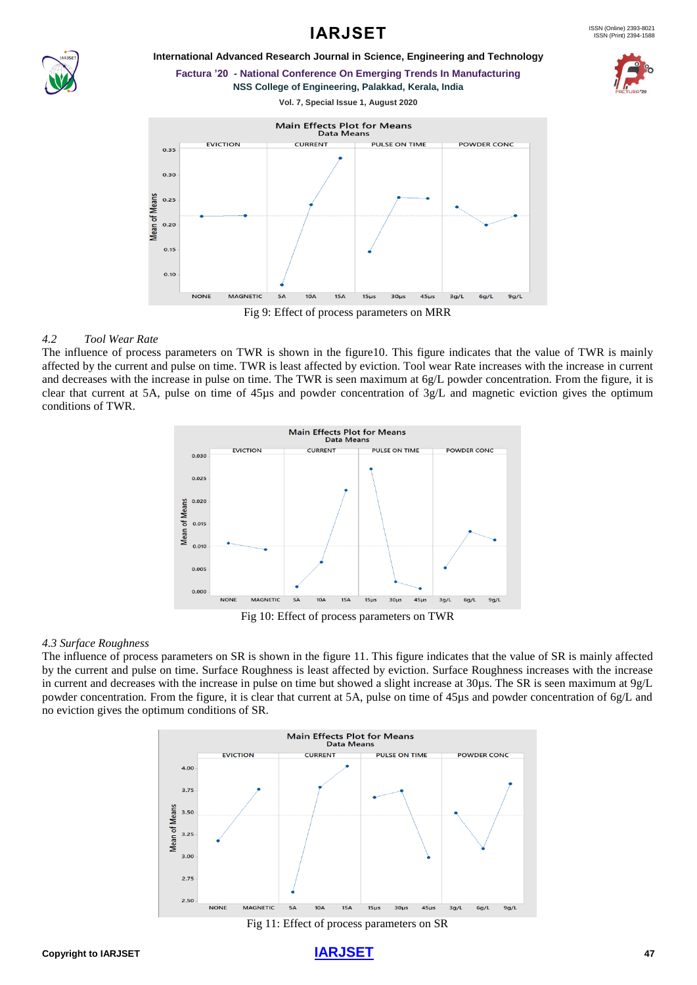

**International Advanced Research Journal in Science, Engineering and Technology**

**Factura '20 - National Conference On Emerging Trends In Manufacturing NSS College of Engineering, Palakkad, Kerala, India**



#### *4.2 Tool Wear Rate*

The influence of process parameters on TWR is shown in the figure10. This figure indicates that the value of TWR is mainly affected by the current and pulse on time. TWR is least affected by eviction. Tool wear Rate increases with the increase in current and decreases with the increase in pulse on time. The TWR is seen maximum at 6g/L powder concentration. From the figure, it is clear that current at 5A, pulse on time of 45µs and powder concentration of 3g/L and magnetic eviction gives the optimum conditions of TWR.



Fig 10: Effect of process parameters on TWR

#### *4.3 Surface Roughness*

The influence of process parameters on SR is shown in the figure 11. This figure indicates that the value of SR is mainly affected by the current and pulse on time. Surface Roughness is least affected by eviction. Surface Roughness increases with the increase in current and decreases with the increase in pulse on time but showed a slight increase at 30µs. The SR is seen maximum at 9g/L powder concentration. From the figure, it is clear that current at 5A, pulse on time of 45µs and powder concentration of 6g/L and no eviction gives the optimum conditions of SR.



Fig 11: Effect of process parameters on SR

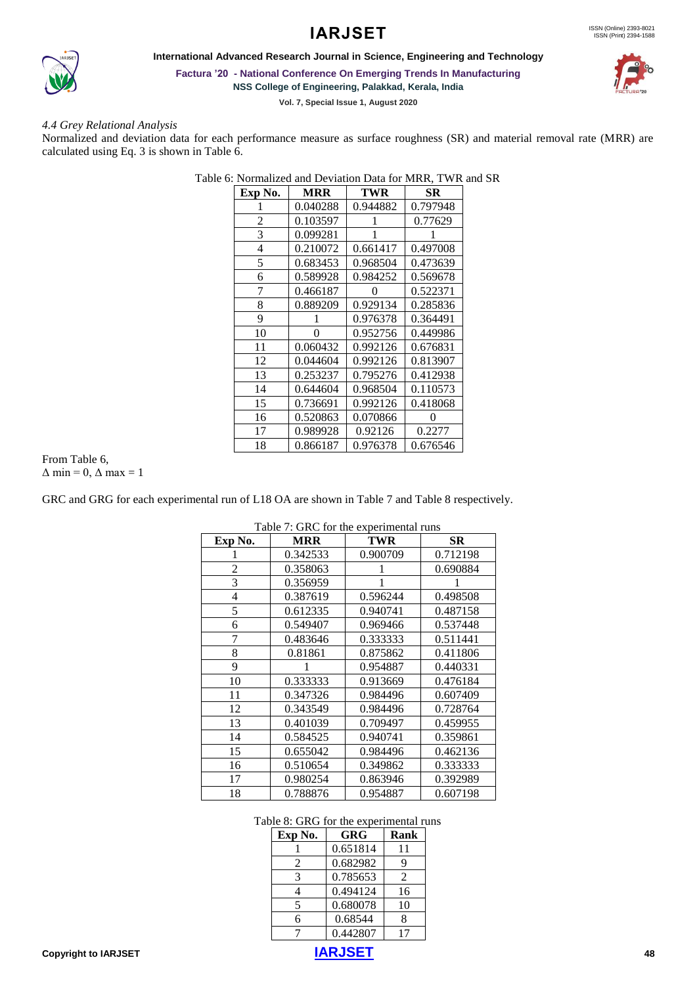## **IARJSET**



**International Advanced Research Journal in Science, Engineering and Technology**

**Factura '20 - National Conference On Emerging Trends In Manufacturing**

**NSS College of Engineering, Palakkad, Kerala, India**

**Vol. 7, Special Issue 1, August 2020**

#### *4.4 Grey Relational Analysis*

Normalized and deviation data for each performance measure as surface roughness (SR) and material removal rate (MRR) are calculated using Eq. 3 is shown in Table 6.

Table 6: Normalized and Deviation Data for MRR, TWR and SR

| Exp No. | <b>MRR</b> | TWR      | SR       |
|---------|------------|----------|----------|
|         | 0.040288   | 0.944882 | 0.797948 |
| 2       | 0.103597   |          | 0.77629  |
| 3       | 0.099281   |          |          |
| 4       | 0.210072   | 0.661417 | 0.497008 |
| 5       | 0.683453   | 0.968504 | 0.473639 |
| 6       | 0.589928   | 0.984252 | 0.569678 |
| 7       | 0.466187   | 0        | 0.522371 |
| 8       | 0.889209   | 0.929134 | 0.285836 |
| 9       |            | 0.976378 | 0.364491 |
| 10      | 0          | 0.952756 | 0.449986 |
| 11      | 0.060432   | 0.992126 | 0.676831 |
| 12      | 0.044604   | 0.992126 | 0.813907 |
| 13      | 0.253237   | 0.795276 | 0.412938 |
| 14      | 0.644604   | 0.968504 | 0.110573 |
| 15      | 0.736691   | 0.992126 | 0.418068 |
| 16      | 0.520863   | 0.070866 |          |
| 17      | 0.989928   | 0.92126  | 0.2277   |
| 18      | 0.866187   | 0.976378 | 0.676546 |

#### From Table 6,  $\Delta$  min = 0,  $\Delta$  max = 1

GRC and GRG for each experimental run of L18 OA are shown in Table 7 and Table 8 respectively.

| Exp No. | <b>MRR</b> | TWR      | SR       |
|---------|------------|----------|----------|
|         | 0.342533   | 0.900709 | 0.712198 |
| 2       | 0.358063   |          | 0.690884 |
| 3       | 0.356959   |          |          |
| 4       | 0.387619   | 0.596244 | 0.498508 |
| 5       | 0.612335   | 0.940741 | 0.487158 |
| 6       | 0.549407   | 0.969466 | 0.537448 |
| 7       | 0.483646   | 0.333333 | 0.511441 |
| 8       | 0.81861    | 0.875862 | 0.411806 |
| 9       |            | 0.954887 | 0.440331 |
| 10      | 0.333333   | 0.913669 | 0.476184 |
| 11      | 0.347326   | 0.984496 | 0.607409 |
| 12      | 0.343549   | 0.984496 | 0.728764 |
| 13      | 0.401039   | 0.709497 | 0.459955 |
| 14      | 0.584525   | 0.940741 | 0.359861 |
| 15      | 0.655042   | 0.984496 | 0.462136 |
| 16      | 0.510654   | 0.349862 | 0.333333 |
| 17      | 0.980254   | 0.863946 | 0.392989 |
| 18      | 0.788876   | 0.954887 | 0.607198 |

 $Table 7: CDC from the remaining  $1$$ 

### Table 8: GRG for the experimental runs

| Exp No. | GRG      | Rank |
|---------|----------|------|
|         | 0.651814 | 11   |
| 2       | 0.682982 | 9    |
| 3       | 0.785653 | 2    |
| 4       | 0.494124 | 16   |
| 5       | 0.680078 | 10   |
| 6       | 0.68544  | 8    |
|         | 0.442807 | 17   |



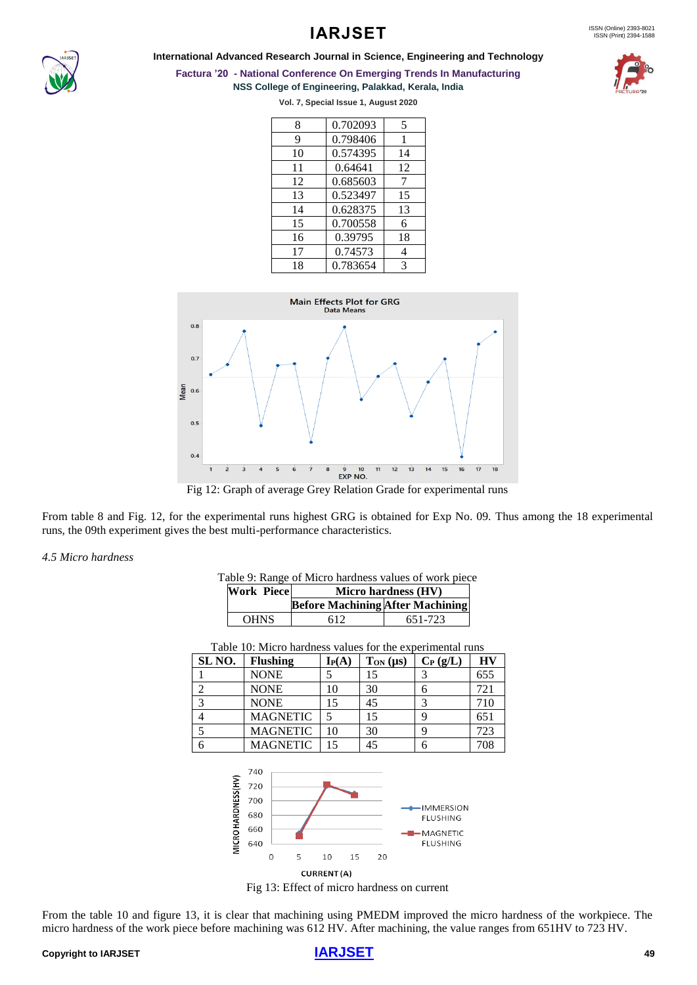

#### **International Advanced Research Journal in Science, Engineering and Technology**



## **Factura '20 - National Conference On Emerging Trends In Manufacturing**

**NSS College of Engineering, Palakkad, Kerala, India**

**Vol. 7, Special Issue 1, August 2020**

| 8  | 0.702093 | 5  |
|----|----------|----|
| 9  | 0.798406 | 1  |
| 10 | 0.574395 | 14 |
| 11 | 0.64641  | 12 |
| 12 | 0.685603 | 7  |
| 13 | 0.523497 | 15 |
| 14 | 0.628375 | 13 |
| 15 | 0.700558 | 6  |
| 16 | 0.39795  | 18 |
| 17 | 0.74573  | 4  |
| 18 | 0.783654 | 3  |



Fig 12: Graph of average Grey Relation Grade for experimental runs

From table 8 and Fig. 12, for the experimental runs highest GRG is obtained for Exp No. 09. Thus among the 18 experimental runs, the 09th experiment gives the best multi-performance characteristics.

#### *4.5 Micro hardness*

| Table 9: Range of Micro hardness values of work piece |  |  |  |
|-------------------------------------------------------|--|--|--|
|-------------------------------------------------------|--|--|--|

| <b>Work Piece</b> | Micro hardness (HV)                     |         |
|-------------------|-----------------------------------------|---------|
|                   | <b>Before Machining After Machining</b> |         |
| <b>OHNS</b>       | 612                                     | 651-723 |

| Table 10: Micro hardness values for the experimental runs |            |                 |            |     |
|-----------------------------------------------------------|------------|-----------------|------------|-----|
| <b>Flushing</b>                                           | $I_{P}(A)$ | $T_{ON}(\mu s)$ | $C_P(g/L)$ | HV  |
| <b>NONE</b>                                               |            | 15              |            | 655 |
| <b>NONE</b>                                               | 10         | 30              |            | 721 |
| <b>NONE</b>                                               | 15         | 45              |            | 710 |
| <b>MAGNETIC</b>                                           |            | 15              |            | 651 |
| <b>MAGNETIC</b>                                           | 10         | 30              |            | 723 |
| <b>MAGNETIC</b>                                           | 15         | 45              |            | 708 |
|                                                           |            |                 |            |     |

740 MICRO HARDNESS(HV) 720 700 IMMERSION 680 **FLUSHING** 660 MAGNETIC 640 **FLUSHING**  $\overline{O}$ 5  $10$ 15  $20$ CURRENT(A)

Fig 13: Effect of micro hardness on current

From the table 10 and figure 13, it is clear that machining using PMEDM improved the micro hardness of the workpiece. The micro hardness of the work piece before machining was 612 HV. After machining, the value ranges from 651HV to 723 HV.